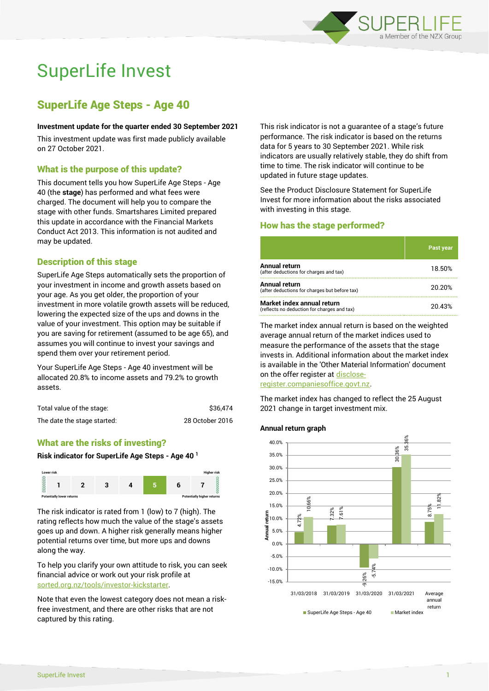

# SuperLife Invest

# SuperLife Age Steps - Age 40

#### **Investment update for the quarter ended 30 September 2021**

This investment update was first made publicly available on 27 October 2021.

# What is the purpose of this update?

This document tells you how SuperLife Age Steps - Age 40 (the **stage**) has performed and what fees were charged. The document will help you to compare the stage with other funds. Smartshares Limited prepared this update in accordance with the Financial Markets Conduct Act 2013. This information is not audited and may be updated.

# Description of this stage

SuperLife Age Steps automatically sets the proportion of your investment in income and growth assets based on your age. As you get older, the proportion of your investment in more volatile growth assets will be reduced, lowering the expected size of the ups and downs in the value of your investment. This option may be suitable if you are saving for retirement (assumed to be age 65), and assumes you will continue to invest your savings and spend them over your retirement period.

Your SuperLife Age Steps - Age 40 investment will be allocated 20.8% to income assets and 79.2% to growth assets.

| Total value of the stage:   | \$36.474        |  |
|-----------------------------|-----------------|--|
| The date the stage started: | 28 October 2016 |  |

# What are the risks of investing?

#### **Risk indicator for SuperLife Age Steps - Age 40 <sup>1</sup>**



The risk indicator is rated from 1 (low) to 7 (high). The rating reflects how much the value of the stage's assets goes up and down. A higher risk generally means higher potential returns over time, but more ups and downs along the way.

To help you clarify your own attitude to risk, you can seek financial advice or work out your risk profile at [sorted.org.nz/tools/investor-kickstarter.](http://www.sorted.org.nz/tools/investor-kickstarter)

Note that even the lowest category does not mean a riskfree investment, and there are other risks that are not captured by this rating.

This risk indicator is not a guarantee of a stage's future performance. The risk indicator is based on the returns data for 5 years to 30 September 2021. While risk indicators are usually relatively stable, they do shift from time to time. The risk indicator will continue to be updated in future stage updates.

See the Product Disclosure Statement for SuperLife Invest for more information about the risks associated with investing in this stage.

# How has the stage performed?

|                                                                           | <b>Past year</b> |
|---------------------------------------------------------------------------|------------------|
| Annual return<br>(after deductions for charges and tax)                   | 18.50%           |
| Annual return<br>(after deductions for charges but before tax)            | 20.20%           |
| Market index annual return<br>(reflects no deduction for charges and tax) | 20.43%           |

The market index annual return is based on the weighted average annual return of the market indices used to measure the performance of the assets that the stage invests in. Additional information about the market index is available in the 'Other Material Information' document on the offer register a[t disclose-](http://www.disclose-register.companiesoffice.govt.nz/)

[register.companiesoffice.govt.nz.](http://www.disclose-register.companiesoffice.govt.nz/)

The market index has changed to reflect the 25 August 2021 change in target investment mix.

#### **Annual return graph**

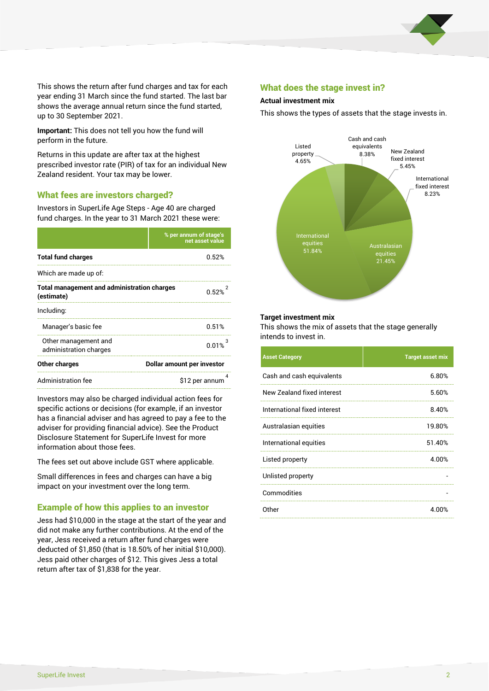

This shows the return after fund charges and tax for each year ending 31 March since the fund started. The last bar shows the average annual return since the fund started, up to 30 September 2021.

**Important:** This does not tell you how the fund will perform in the future.

Returns in this update are after tax at the highest prescribed investor rate (PIR) of tax for an individual New Zealand resident. Your tax may be lower.

# What fees are investors charged?

Investors in SuperLife Age Steps - Age 40 are charged fund charges. In the year to 31 March 2021 these were:

|                                                                  | % per annum of stage's<br>net asset value |  |
|------------------------------------------------------------------|-------------------------------------------|--|
| <b>Total fund charges</b>                                        | በ 52%                                     |  |
| Which are made up of:                                            |                                           |  |
| <b>Total management and administration charges</b><br>(estimate) | በ 52%                                     |  |
| Including:                                                       |                                           |  |
| Manager's basic fee                                              | 0.51%                                     |  |
| Other management and<br>administration charges                   | 0.01%                                     |  |
| Other charges                                                    | Dollar amount per investor                |  |
| Administration fee                                               | \$12 per annum                            |  |

Investors may also be charged individual action fees for specific actions or decisions (for example, if an investor has a financial adviser and has agreed to pay a fee to the adviser for providing financial advice). See the Product Disclosure Statement for SuperLife Invest for more information about those fees.

The fees set out above include GST where applicable.

Small differences in fees and charges can have a big impact on your investment over the long term.

# Example of how this applies to an investor

Jess had \$10,000 in the stage at the start of the year and did not make any further contributions. At the end of the year, Jess received a return after fund charges were deducted of \$1,850 (that is 18.50% of her initial \$10,000). Jess paid other charges of \$12. This gives Jess a total return after tax of \$1,838 for the year.

### What does the stage invest in?

#### **Actual investment mix**

This shows the types of assets that the stage invests in.



#### **Target investment mix**

This shows the mix of assets that the stage generally intends to invest in.

| <b>Asset Category</b>        | <b>Target asset mix</b> |
|------------------------------|-------------------------|
| Cash and cash equivalents    | 6.80%                   |
| New Zealand fixed interest   | 5.60%                   |
| International fixed interest | 8.40%                   |
| Australasian equities        | 19.80%                  |
| International equities       | 51.40%                  |
| Listed property              | 4.00%                   |
| Unlisted property            |                         |
| Commodities                  |                         |
| Other                        | 4.00%                   |